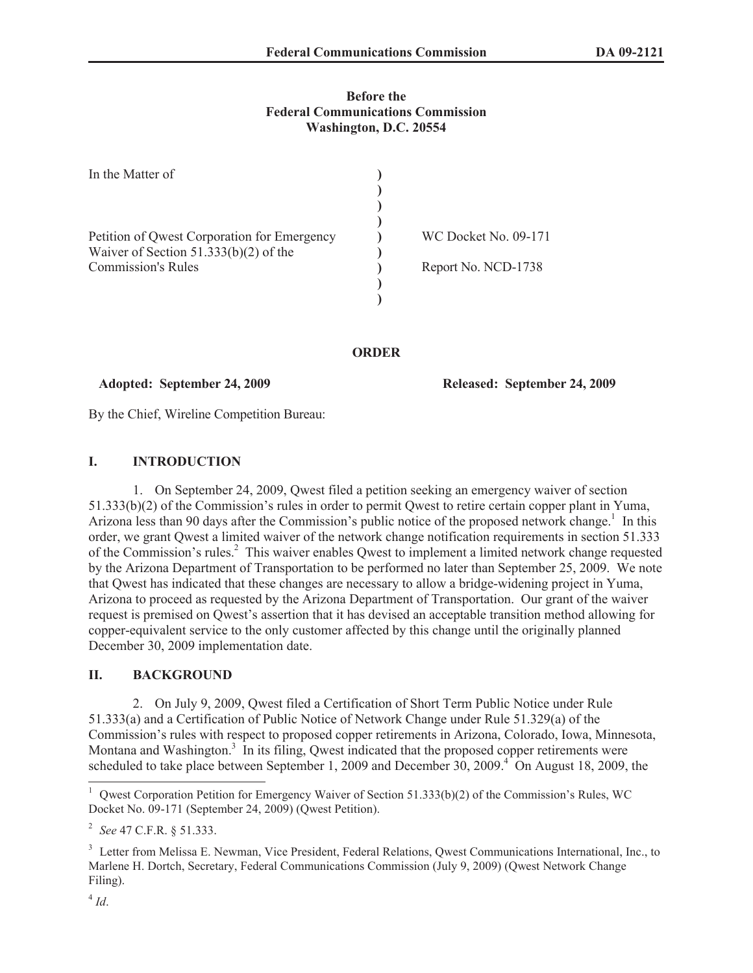## **Before the Federal Communications Commission Washington, D.C. 20554**

| In the Matter of                                                                       |                      |
|----------------------------------------------------------------------------------------|----------------------|
|                                                                                        |                      |
| Petition of Qwest Corporation for Emergency<br>Waiver of Section $51.333(b)(2)$ of the | WC Docket No. 09-171 |
| <b>Commission's Rules</b>                                                              | Report No. NCD-1738  |
|                                                                                        |                      |

#### **ORDER**

#### **Adopted: September 24, 2009 Released: September 24, 2009**

By the Chief, Wireline Competition Bureau:

# **I. INTRODUCTION**

1. On September 24, 2009, Qwest filed a petition seeking an emergency waiver of section 51.333(b)(2) of the Commission's rules in order to permit Qwest to retire certain copper plant in Yuma, Arizona less than 90 days after the Commission's public notice of the proposed network change.<sup>1</sup> In this order, we grant Qwest a limited waiver of the network change notification requirements in section 51.333 of the Commission's rules.<sup>2</sup> This waiver enables Qwest to implement a limited network change requested by the Arizona Department of Transportation to be performed no later than September 25, 2009. We note that Qwest has indicated that these changes are necessary to allow a bridge-widening project in Yuma, Arizona to proceed as requested by the Arizona Department of Transportation. Our grant of the waiver request is premised on Qwest's assertion that it has devised an acceptable transition method allowing for copper-equivalent service to the only customer affected by this change until the originally planned December 30, 2009 implementation date.

# **II. BACKGROUND**

2. On July 9, 2009, Qwest filed a Certification of Short Term Public Notice under Rule 51.333(a) and a Certification of Public Notice of Network Change under Rule 51.329(a) of the Commission's rules with respect to proposed copper retirements in Arizona, Colorado, Iowa, Minnesota, Montana and Washington.<sup>3</sup> In its filing, Qwest indicated that the proposed copper retirements were scheduled to take place between September 1, 2009 and December  $30, 2009$ <sup>4</sup> On August 18, 2009, the

<sup>&</sup>lt;sup>1</sup> Qwest Corporation Petition for Emergency Waiver of Section 51.333(b)(2) of the Commission's Rules, WC Docket No. 09-171 (September 24, 2009) (Qwest Petition).

<sup>2</sup> *See* 47 C.F.R. § 51.333.

<sup>&</sup>lt;sup>3</sup> Letter from Melissa E. Newman, Vice President, Federal Relations, Qwest Communications International, Inc., to Marlene H. Dortch, Secretary, Federal Communications Commission (July 9, 2009) (Qwest Network Change Filing).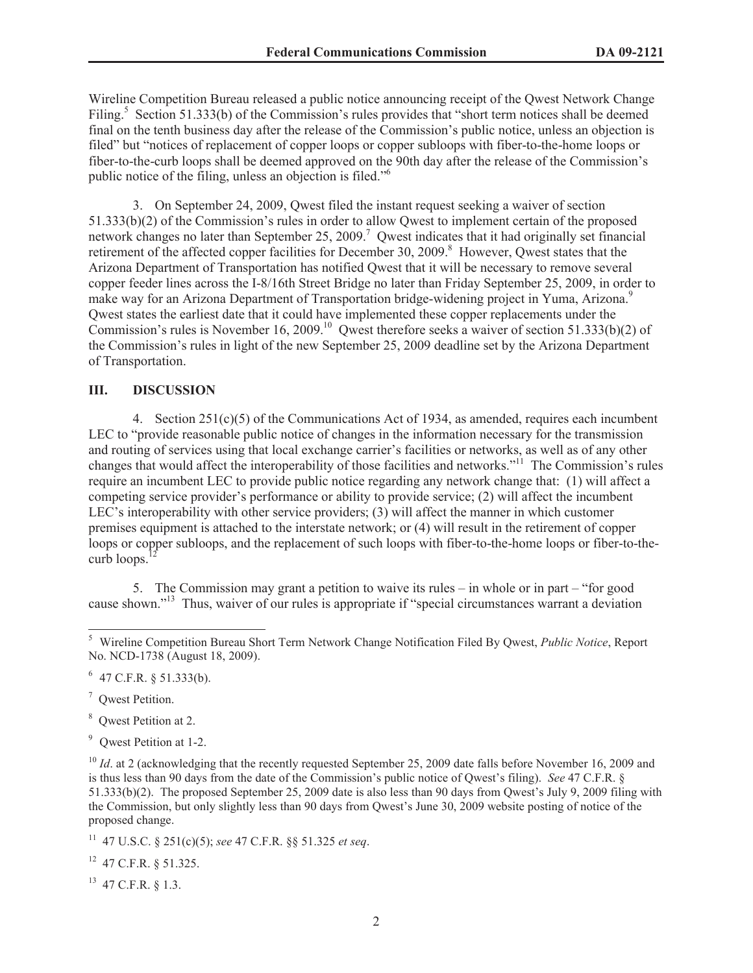Wireline Competition Bureau released a public notice announcing receipt of the Qwest Network Change Filing.<sup>5</sup> Section 51.333(b) of the Commission's rules provides that "short term notices shall be deemed final on the tenth business day after the release of the Commission's public notice, unless an objection is filed" but "notices of replacement of copper loops or copper subloops with fiber-to-the-home loops or fiber-to-the-curb loops shall be deemed approved on the 90th day after the release of the Commission's public notice of the filing, unless an objection is filed."<sup>6</sup>

3. On September 24, 2009, Qwest filed the instant request seeking a waiver of section 51.333(b)(2) of the Commission's rules in order to allow Qwest to implement certain of the proposed network changes no later than September 25, 2009.<sup>7</sup> Qwest indicates that it had originally set financial retirement of the affected copper facilities for December 30, 2009.<sup>8</sup> However, Qwest states that the Arizona Department of Transportation has notified Qwest that it will be necessary to remove several copper feeder lines across the I-8/16th Street Bridge no later than Friday September 25, 2009, in order to make way for an Arizona Department of Transportation bridge-widening project in Yuma, Arizona.<sup>9</sup> Qwest states the earliest date that it could have implemented these copper replacements under the Commission's rules is November 16, 2009.<sup>10</sup> Owest therefore seeks a waiver of section 51.333(b)(2) of the Commission's rules in light of the new September 25, 2009 deadline set by the Arizona Department of Transportation.

#### **III. DISCUSSION**

4. Section 251(c)(5) of the Communications Act of 1934, as amended, requires each incumbent LEC to "provide reasonable public notice of changes in the information necessary for the transmission and routing of services using that local exchange carrier's facilities or networks, as well as of any other changes that would affect the interoperability of those facilities and networks."<sup>11</sup> The Commission's rules require an incumbent LEC to provide public notice regarding any network change that: (1) will affect a competing service provider's performance or ability to provide service; (2) will affect the incumbent LEC's interoperability with other service providers; (3) will affect the manner in which customer premises equipment is attached to the interstate network; or (4) will result in the retirement of copper loops or copper subloops, and the replacement of such loops with fiber-to-the-home loops or fiber-to-thecurb loops.

5. The Commission may grant a petition to waive its rules – in whole or in part – "for good cause shown."<sup>13</sup> Thus, waiver of our rules is appropriate if "special circumstances warrant a deviation

<sup>7</sup> Qwest Petition.

<sup>8</sup> Qwest Petition at 2.

<sup>9</sup> Owest Petition at 1-2.

<sup>10</sup> *Id.* at 2 (acknowledging that the recently requested September 25, 2009 date falls before November 16, 2009 and is thus less than 90 days from the date of the Commission's public notice of Qwest's filing). *See* 47 C.F.R. § 51.333(b)(2). The proposed September 25, 2009 date is also less than 90 days from Qwest's July 9, 2009 filing with the Commission, but only slightly less than 90 days from Qwest's June 30, 2009 website posting of notice of the proposed change.

<sup>11</sup> 47 U.S.C. § 251(c)(5); *see* 47 C.F.R. §§ 51.325 *et seq*.

<sup>12</sup> 47 C.F.R. § 51.325.

<sup>13</sup> 47 C.F.R. § 1.3.

<sup>5</sup> Wireline Competition Bureau Short Term Network Change Notification Filed By Qwest, *Public Notice*, Report No. NCD-1738 (August 18, 2009).

 $6$  47 C.F.R. § 51.333(b).